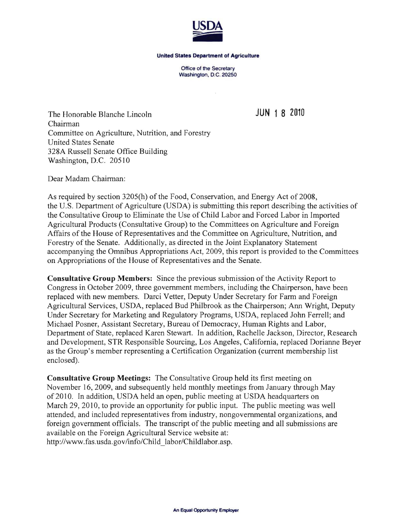

## **United States Department of Agriculture**

Office of the Secretary Washington, D.C. 20250

 $\mathcal{L}$ 

The Honorable Blanche Lincoln **JUN 1 8 2010**  Chairman Committee on Agriculture, Nutrition, and Forestry United States Senate 328A Russell Senate Office Building Washington, D.C. 20510

Dear Madam Chairman:

As required by section 3205(h) of the Food, Conservation, and Energy Act of 2008, the U.S. Department of Agriculture (USDA) is submitting this report describing the activities of the Consultative Group to Eliminate the Use of Child Labor and Forced Labor in Imported Agricultural Products (Consultative Group) to the Committees on Agriculture and Foreign Affairs of the House of Representatives and the Committee on Agriculture, Nutrition, and Forestry of the Senate. Additionally, as directed in the Joint Explanatory Statement accompanying the Omnibus Appropriations Act, 2009, this report is provided to the Committees on Appropriations of the House of Representatives and the Senate.

**Consultative Group Members:** Since the previous submission of the Activity Report to Congress in October 2009, three government members, including the Chairperson, have been replaced with new members. Darci Vetter, Deputy Under Secretary for Farm and Foreign Agricultural Services, USDA, replaced Bud Philbrook as the Chairperson; Ann Wright, Deputy Under Secretary for Marketing and Regulatory Programs, USDA, replaced John Ferrell; and Michael Posner, Assistant Secretary, Bureau of Democracy, Human Rights and Labor, Department of State, replaced Karen Stewart. In addition, Rachelle Jackson, Director, Research and Development, STR Responsible Sourcing, Los Angeles, California, replaced Dorianne Beyer as the Group's member representing a Certification Organization (current membership list enclosed).

**Consultative Group Meetings:** The Consultative Group held its first meeting on November 16,2009, and subsequently held monthly meetings from January through May of201O. In addition, USDA held an open, public meeting at USDA headquarters on March 29, 2010, to provide an opportunity for public input. The public meeting was well attended, and included representatives from industry, nongovernmental organizations, and foreign government officials. The transcript of the public meeting and all submissions are available on the Foreign Agricultural Service website at: http://www.fas.usda.gov/info/Child labor/Childlabor.asp.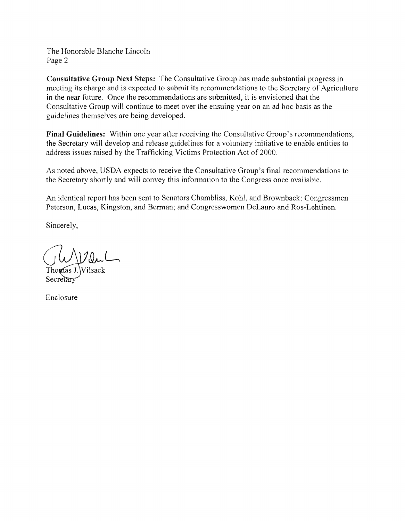The Honorable Blanche Lincoln Page 2

Consultative Group Next Steps: The Consultative Group has made substantial progress in meeting its charge and is expected to submit its recommendations to the Secretary of Agriculture in the near future. Once the recommendations are submitted, it is envisioned that the Consultative Group will continue to meet over the ensuing year on an ad hoc basis as the guidelines themselves are being developed.

Final Guidelines: Within one year after receiving the Consultative Group's recommendations, the Secretary will develop and release guidelines for a voluntary initiative to enable entities to address issues raised by the Trafficking Victims Protection Act of 2000.

As noted above, USDA expects to receive the Consultative Group's final recommendations to the Secretary shortly and will convey this information to the Congress once available.

An identical report has been sent to Senators Chambliss, Kohl, and Brownback; Congressmen Peterson, Lucas, Kingston, and Berman; and Congresswomen DeLauro and Ros-Lehtinen.

Sincerely,

Vilsack

Enclosure